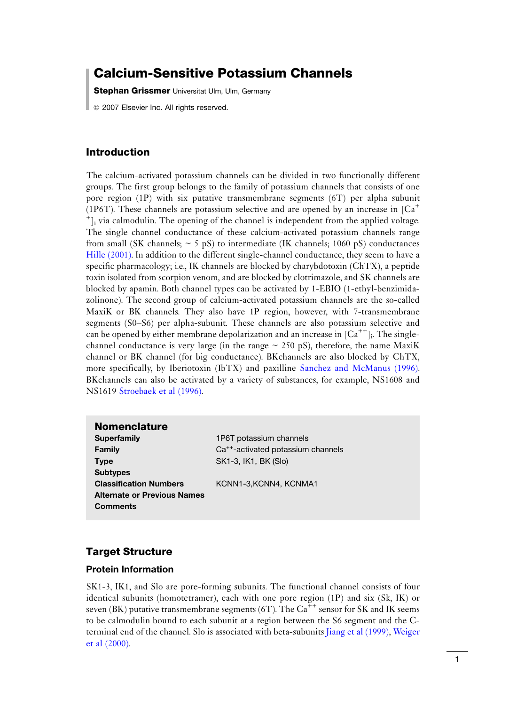# Calcium-Sensitive Potassium Channels

**Stephan Grissmer** Universitat Ulm, Ulm, Germany

*ã* 2007 Elsevier Inc. All rights reserved.

# Introduction

The calcium-activated potassium channels can be divided in two functionally different groups. The first group belongs to the family of potassium channels that consists of one pore region (1P) with six putative transmembrane segments (6T) per alpha subunit (1P6T). These channels are potassium selective and are opened by an increase in  ${Ca<sup>+</sup>}$  $\dot{a}$  is via calmodulin. The opening of the channel is independent from the applied voltage. The single channel conductance of these calcium-activated potassium channels range from small (SK channels;  $\sim$  5 pS) to intermediate (IK channels; 1060 pS) conductances [Hille \(2001\)](#page-3-0). In addition to the different single-channel conductance, they seem to have a specific pharmacology; i.e., IK channels are blocked by charybdotoxin (ChTX), a peptide toxin isolated from scorpion venom, and are blocked by clotrimazole, and SK channels are blocked by apamin. Both channel types can be activated by 1-EBIO (1-ethyl-benzimidazolinone). The second group of calcium-activated potassium channels are the so-called MaxiK or BK channels. They also have 1P region, however, with 7-transmembrane segments (S0–S6) per alpha-subunit. These channels are also potassium selective and can be opened by either membrane depolarization and an increase in  ${[Ca^{++}]_i}$ . The singlechannel conductance is very large (in the range  $\sim$  250 pS), therefore, the name MaxiK channel or BK channel (for big conductance). BKchannels are also blocked by ChTX, more specifically, by Iberiotoxin (IbTX) and paxilline [Sanchez and McManus \(1996\)](#page-2-0). BKchannels can also be activated by a variety of substances, for example, NS1608 and NS1619 [Stroebaek et al \(1996\)](#page-2-0).

#### Nomenclature

Superfamily 1P6T potassium channels Type SK1-3, IK1, BK (Slo) **Subtypes** Classification Numbers KCNN1-3,KCNN4, KCNMA1 Alternate or Previous Names **Comments** 

**Family**  $Ca^{++}$ -activated potassium channels

# Target Structure

#### Protein Information

SK1-3, IK1, and Slo are pore-forming subunits. The functional channel consists of four identical subunits (homotetramer), each with one pore region (1P) and six (Sk, IK) or seven (BK) putative transmembrane segments (6T). The  $Ca^{++}$  sensor for SK and IK seems to be calmodulin bound to each subunit at a region between the S6 segment and the Cterminal end of the channel. Slo is associated with beta-subunits [Jiang et al \(1999\),](#page-2-0) [Weiger](#page-3-0) [et al \(2000\).](#page-3-0)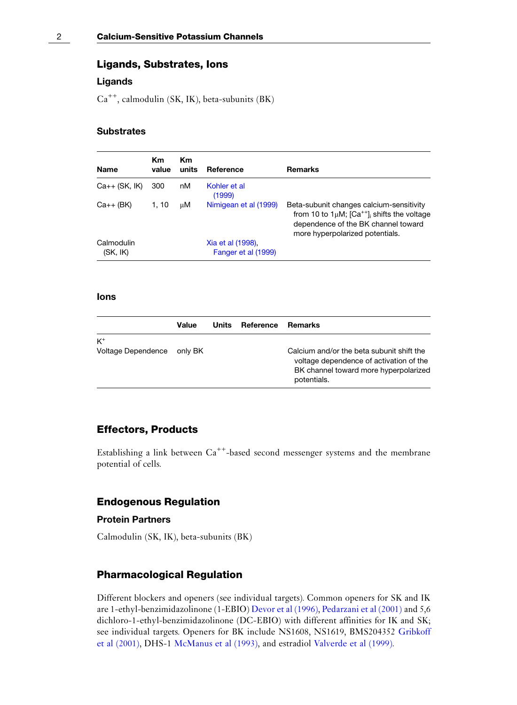# Ligands, Substrates, Ions

# Ligands

 $Ca^{++}$ , calmodulin (SK, IK), beta-subunits (BK)

#### **Substrates**

| Km<br>Name<br>value    |       | Кm<br>Reference<br>units |                                          | <b>Remarks</b>                                                                                                                                                                |  |
|------------------------|-------|--------------------------|------------------------------------------|-------------------------------------------------------------------------------------------------------------------------------------------------------------------------------|--|
| $Ca++$ (SK, $IK$ )     | 300   | nM                       | Kohler et al<br>(1999)                   |                                                                                                                                                                               |  |
| $Ca++$ (BK)            | 1, 10 | цM                       | Nimigean et al (1999)                    | Beta-subunit changes calcium-sensitivity<br>from 10 to $1 \mu M$ ; $[Ca^{++}]_i$ shifts the voltage<br>dependence of the BK channel toward<br>more hyperpolarized potentials. |  |
| Calmodulin<br>(SK, IK) |       |                          | Xia et al (1998).<br>Fanger et al (1999) |                                                                                                                                                                               |  |

# Ions

|                                     | Value | Units Reference | Remarks                                                                                                                                      |
|-------------------------------------|-------|-----------------|----------------------------------------------------------------------------------------------------------------------------------------------|
| $K^+$<br>Voltage Dependence only BK |       |                 | Calcium and/or the beta subunit shift the<br>voltage dependence of activation of the<br>BK channel toward more hyperpolarized<br>potentials. |

# Effectors, Products

Establishing a link between  $Ca^{++}$ -based second messenger systems and the membrane potential of cells.

#### Endogenous Regulation

#### Protein Partners

Calmodulin (SK, IK), beta-subunits (BK)

# Pharmacological Regulation

Different blockers and openers (see individual targets). Common openers for SK and IK are 1-ethyl-benzimidazolinone (1-EBIO) [Devor et al \(1996\)](#page-2-0), [Pedarzani et al \(2001\)](#page-2-0) and 5,6 dichloro-1-ethyl-benzimidazolinone (DC-EBIO) with different affinities for IK and SK; see individual targets. Openers for BK include NS1608, NS1619, BMS204352 [Gribkoff](#page-2-0) [et al \(2001\)](#page-2-0), DHS-1 [McManus et al \(1993\),](#page-2-0) and estradiol [Valverde et al \(1999\)](#page-3-0).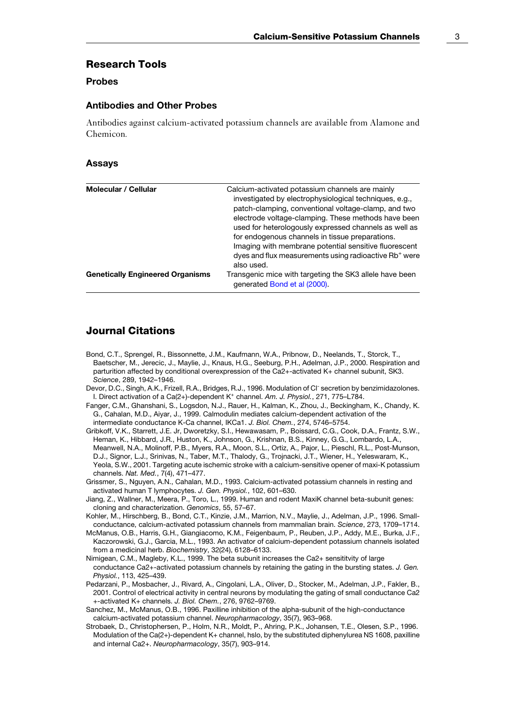### <span id="page-2-0"></span>Research Tools

# Probes

#### Antibodies and Other Probes

Antibodies against calcium-activated potassium channels are available from Alamone and Chemicon.

#### Assays

| Molecular / Cellular                    | Calcium-activated potassium channels are mainly<br>investigated by electrophysiological techniques, e.g.,<br>patch-clamping, conventional voltage-clamp, and two<br>electrode voltage-clamping. These methods have been<br>used for heterologously expressed channels as well as<br>for endogenous channels in tissue preparations.<br>Imaging with membrane potential sensitive fluorescent<br>dyes and flux measurements using radioactive Rb <sup>+</sup> were<br>also used. |
|-----------------------------------------|---------------------------------------------------------------------------------------------------------------------------------------------------------------------------------------------------------------------------------------------------------------------------------------------------------------------------------------------------------------------------------------------------------------------------------------------------------------------------------|
| <b>Genetically Engineered Organisms</b> | Transgenic mice with targeting the SK3 allele have been<br>generated Bond et al (2000).                                                                                                                                                                                                                                                                                                                                                                                         |

# Journal Citations

- Bond, C.T., Sprengel, R., Bissonnette, J.M., Kaufmann, W.A., Pribnow, D., Neelands, T., Storck, T., Baetscher, M., Jerecic, J., Maylie, J., Knaus, H.G., Seeburg, P.H., Adelman, J.P., 2000. Respiration and parturition affected by conditional overexpression of the Ca2+-activated K+ channel subunit, SK3. Science, 289, 1942–1946.
- Devor, D.C., Singh, A.K., Frizell, R.A., Bridges, R.J., 1996. Modulation of Cl<sup>-</sup> secretion by benzimidazolones. I. Direct activation of a Ca(2+)-dependent K<sup>+</sup> channel. Am. J. Physiol., 271, 775-L784.
- Fanger, C.M., Ghanshani, S., Logsdon, N.J., Rauer, H., Kalman, K., Zhou, J., Beckingham, K., Chandy, K. G., Cahalan, M.D., Aiyar, J., 1999. Calmodulin mediates calcium-dependent activation of the intermediate conductance K-Ca channel, IKCa1. J. Biol. Chem., 274, 5746–5754.
- Gribkoff, V.K., Starrett, J.E. Jr, Dworetzky, S.I., Hewawasam, P., Boissard, C.G., Cook, D.A., Frantz, S.W., Heman, K., Hibbard, J.R., Huston, K., Johnson, G., Krishnan, B.S., Kinney, G.G., Lombardo, L.A., Meanwell, N.A., Molinoff, P.B., Myers, R.A., Moon, S.L., Ortiz, A., Pajor, L., Pieschl, R.L., Post-Munson, D.J., Signor, L.J., Srinivas, N., Taber, M.T., Thalody, G., Trojnacki, J.T., Wiener, H., Yeleswaram, K., Yeola, S.W., 2001. Targeting acute ischemic stroke with a calcium-sensitive opener of maxi-K potassium channels. Nat. Med., 7(4), 471–477.
- Grissmer, S., Nguyen, A.N., Cahalan, M.D., 1993. Calcium-activated potassium channels in resting and activated human T lymphocytes. J. Gen. Physiol., 102, 601–630.
- Jiang, Z., Wallner, M., Meera, P., Toro, L., 1999. Human and rodent MaxiK channel beta-subunit genes: cloning and characterization. Genomics, 55, 57–67.
- Kohler, M., Hirschberg, B., Bond, C.T., Kinzie, J.M., Marrion, N.V., Maylie, J., Adelman, J.P., 1996. Smallconductance, calcium-activated potassium channels from mammalian brain. Science, 273, 1709–1714.
- McManus, O.B., Harris, G.H., Giangiacomo, K.M., Feigenbaum, P., Reuben, J.P., Addy, M.E., Burka, J.F., Kaczorowski, G.J., Garcia, M.L., 1993. An activator of calcium-dependent potassium channels isolated from a medicinal herb. Biochemistry, 32(24), 6128-6133.
- Nimigean, C.M., Magleby, K.L., 1999. The beta subunit increases the Ca2+ sensititvity of large conductance Ca2+-activated potassium channels by retaining the gating in the bursting states. J. Gen. Physiol., 113, 425–439.
- Pedarzani, P., Mosbacher, J., Rivard, A., Cingolani, L.A., Oliver, D., Stocker, M., Adelman, J.P., Fakler, B., 2001. Control of electrical activity in central neurons by modulating the gating of small conductance Ca2 +-activated K+ channels. J. Biol. Chem., 276, 9762–9769.
- Sanchez, M., McManus, O.B., 1996. Paxilline inhibition of the alpha-subunit of the high-conductance calcium-activated potassium channel. Neuropharmacology, 35(7), 963–968.
- Strobaek, D., Christophersen, P., Holm, N.R., Moldt, P., Ahring, P.K., Johansen, T.E., Olesen, S.P., 1996. Modulation of the Ca(2+)-dependent K+ channel, hslo, by the substituted diphenylurea NS 1608, paxilline and internal Ca2+. Neuropharmacology, 35(7), 903–914.